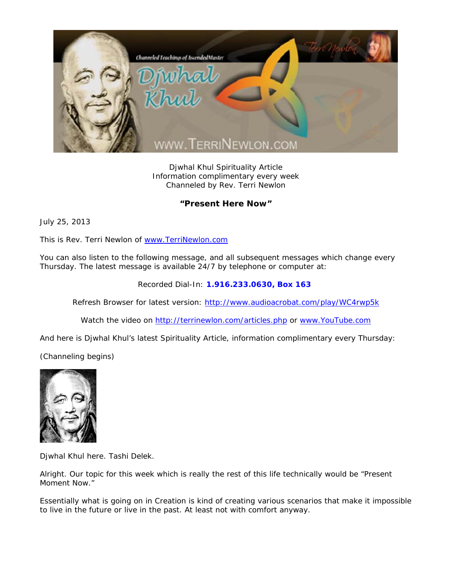

Djwhal Khul Spirituality Article Information complimentary every week Channeled by Rev. Terri Newlon

## **"Present Here Now"**

July 25, 2013

This is Rev. Terri Newlon of www.TerriNewlon.com

You can also listen to the following message, and all subsequent messages which change every Thursday. The latest message is available 24/7 by telephone or computer at:

Recorded Dial-In: **1.916.233.0630, Box 163** 

Refresh Browser for latest version: http://www.audioacrobat.com/play/WC4rwp5k

Watch the video on http://terrinewlon.com/articles.php or www.YouTube.com

And here is Djwhal Khul's latest Spirituality Article, information complimentary every Thursday:

(Channeling begins)



Djwhal Khul here. Tashi Delek.

Alright. Our topic for this week which is really the rest of this life technically would be "Present Moment Now."

Essentially what is going on in Creation is kind of creating various scenarios that make it impossible to live in the future or live in the past. At least not with comfort anyway.